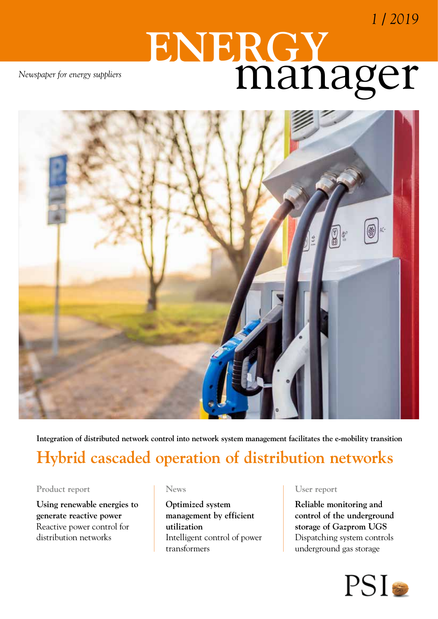*1 / 2019*

# manager **ENERGY**

*Newspaper for energy suppliers*



**Integration of distributed network control into network system management facilitates the e-mobility transition**

# **Hybrid cascaded operation of distribution networks**

#### **Product report**

**Using renewable energies to generate reactive power** Reactive power control for distribution networks

#### **News**

**Optimized system management by efficient utilization** Intelligent control of power transformers

#### **User report**

**Reliable monitoring and control of the underground storage of Gazprom UGS** Dispatching system controls underground gas storage

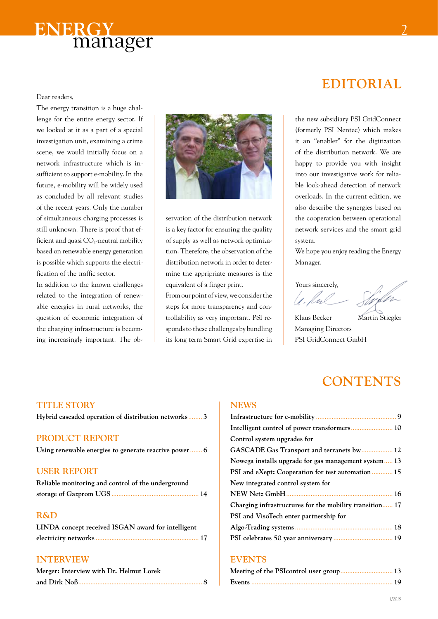

#### Dear readers,

The energy transition is a huge challenge for the entire energy sector. If we looked at it as a part of a special investigation unit, examining a crime scene, we would initially focus on a network infrastructure which is insufficient to support e-mobility. In the future, e-mobility will be widely used as concluded by all relevant studies of the recent years. Only the number of simultaneous charging processes is still unknown. There is proof that efficient and quasi  $CO_2$ -neutral mobility based on renewable energy generation is possible which supports the electrification of the traffic sector.

In addition to the known challenges related to the integration of renewable energies in rural networks, the question of economic integration of the charging infrastructure is becoming increasingly important. The ob-



servation of the distribution network is a key factor for ensuring the quality of supply as well as network optimization. Therefore, the observation of the distribution network in order to determine the appripriate measures is the equivalent of a finger print.

From our point of view, we consider the steps for more transparency and controllability as very important. PSI responds to these challenges by bundling its long term Smart Grid expertise in

### **Editorial**

the new subsidiary PSI GridConnect (formerly PSI Nentec) which makes it an "enabler" for the digitization of the distribution network. We are happy to provide you with insight into our investigative work for reliable look-ahead detection of network overloads. In the current edition, we also describe the synergies based on the cooperation between operational network services and the smart grid system.

We hope you enjoy reading the Energy Manager.

Yours sincerely,

Klaus Becker Martin Stiegler Managing Directors PSI GridConnect GmbH

### **CONTENTS**

#### **News**

| Control system upgrades for                             |  |
|---------------------------------------------------------|--|
| GASCADE Gas Transport and terranets bw 12               |  |
| Nowega installs upgrade for gas management system13     |  |
| PSI and eXept: Cooperation for test automation 15       |  |
| New integrated control system for                       |  |
|                                                         |  |
| Charging infrastructures for the mobility transition 17 |  |
| PSI and VisoTech enter partnership for                  |  |
|                                                         |  |
|                                                         |  |
|                                                         |  |

#### **Events**

#### **Title story**

**Hybrid cascaded operation of distribution networks**........ **3**

#### **PRODUCT REPORT**

**Using renewable energies to generate reactive power**....... **6**

#### **USER REPORT**

| Reliable monitoring and control of the underground |  |
|----------------------------------------------------|--|
|                                                    |  |

#### **R&D**

| LINDA concept received ISGAN award for intelligent |  |
|----------------------------------------------------|--|
|                                                    |  |

#### **Interview**

| Merger: Interview with Dr. Helmut Lorek |  |
|-----------------------------------------|--|
|                                         |  |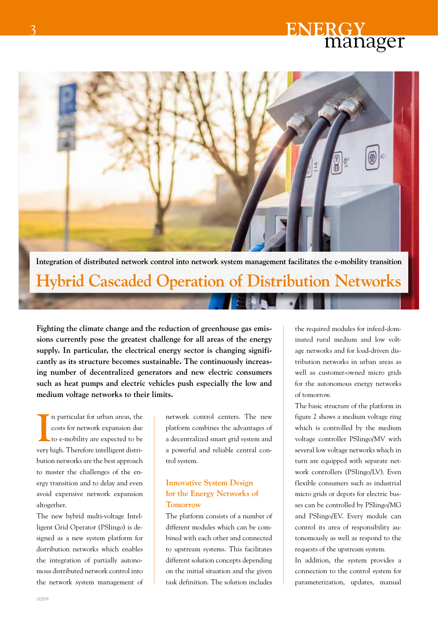

# **Hybrid Cascaded Operation of Distribution Networks**

**Fighting the climate change and the reduction of greenhouse gas emissions currently pose the greatest challenge for all areas of the energy supply. In particular, the electrical energy sector is changing significantly as its structure becomes sustainable. The continuously increasing number of decentralized generators and new electric consumers such as heat pumps and electric vehicles push especially the low and medium voltage networks to their limits.**

**I** n particular for urban areas, the costs for network expansion due to e-mobility are expected to be very high. Therefore intelligent distribution networks are the best approach to master the challenges of the energy transition and to delay and even avoid expensive network expansion altogether.

The new hybrid multi-voltage Intelligent Grid Operator (PSIingo) is designed as a new system platform for distribution networks which enables the integration of partially autonomous distributed network control into the network system management of

network control centers. The new platform combines the advantages of a decentralized smart grid system and a powerful and reliable central control system.

#### **Innovative System Design for the Energy Networks of Tomorrow**

The platform consists of a number of different modules which can be combined with each other and connected to upstream systems. This facilitates different solution concepts depending on the initial situation and the given task definition. The solution includes

the required modules for infeed-dominated rural medium and low voltage networks and for load-driven distribution networks in urban areas as well as customer-owned micro grids for the autonomous energy networks of tomorrow.

The basic structure of the platform in figure 2 shows a medium voltage ring which is controlled by the medium voltage controller PSIingo/MV with several low voltage networks which in turn are equipped with separate network controllers (PSIingo/LV). Even flexible consumers such as industrial micro grids or depots for electric busses can be controlled by PSIingo/MG and PSIingo/EV. Every module can control its area of responsibility autonomously as well as respond to the requests of the upstream system.

In addition, the system provides a connection to the control system for parameterization, updates, manual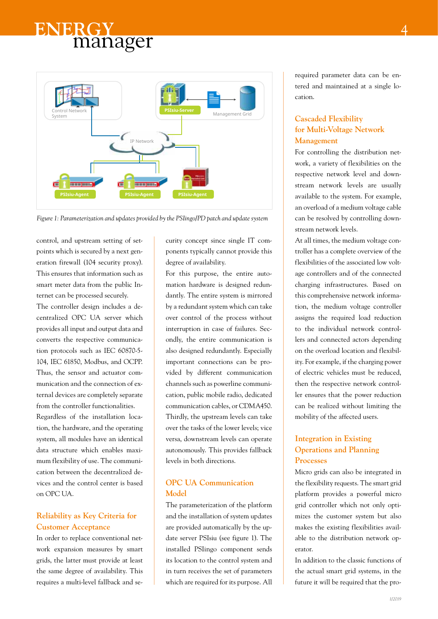

*Figure 1: Parameterization and updates provided by the PSIingo/PD patch and update system*

control, and upstream setting of setpoints which is secured by a next generation firewall (104 security proxy). This ensures that information such as smart meter data from the public Internet can be processed securely.

The controller design includes a decentralized OPC UA server which provides all input and output data and converts the respective communication protocols such as IEC 60870-5- 104, IEC 61850, Modbus, and OCPP. Thus, the sensor and actuator communication and the connection of external devices are completely separate from the controller functionalities. Regardless of the installation location, the hardware, and the operating system, all modules have an identical data structure which enables maximum flexibility of use. The communication between the decentralized devices and the control center is based on OPC UA.

#### **Reliability as Key Criteria for Customer Acceptance**

In order to replace conventional network expansion measures by smart grids, the latter must provide at least the same degree of availability. This requires a multi-level fallback and security concept since single IT components typically cannot provide this degree of availability.

For this purpose, the entire automation hardware is designed redundantly. The entire system is mirrored by a redundant system which can take over control of the process without interruption in case of failures. Secondly, the entire communication is also designed redundantly. Especially important connections can be provided by different communication channels such as powerline communication, public mobile radio, dedicated communication cables, or CDMA450. Thirdly, the upstream levels can take over the tasks of the lower levels; vice versa, downstream levels can operate autonomously. This provides fallback levels in both directions.

#### **OPC UA Communication Model**

The parameterization of the platform and the installation of system updates are provided automatically by the update server PSIsiu (see figure 1). The installed PSIingo component sends its location to the control system and in turn receives the set of parameters which are required for its purpose. All

required parameter data can be entered and maintained at a single location.

#### **Cascaded Flexibility for Multi-Voltage Network Management**

For controlling the distribution network, a variety of flexibilities on the respective network level and downstream network levels are usually available to the system. For example, an overload of a medium voltage cable can be resolved by controlling downstream network levels.

At all times, the medium voltage controller has a complete overview of the flexibilities of the associated low voltage controllers and of the connected charging infrastructures. Based on this comprehensive network information, the medium voltage controller assigns the required load reduction to the individual network controllers and connected actors depending on the overload location and flexibility. For example, if the charging power of electric vehicles must be reduced, then the respective network controller ensures that the power reduction can be realized without limiting the mobility of the affected users.

#### **Integration in Existing Operations and Planning Processes**

Micro grids can also be integrated in the flexibility requests. The smart grid platform provides a powerful micro grid controller which not only optimizes the customer system but also makes the existing flexibilities available to the distribution network operator.

In addition to the classic functions of the actual smart grid systems, in the future it will be required that the pro-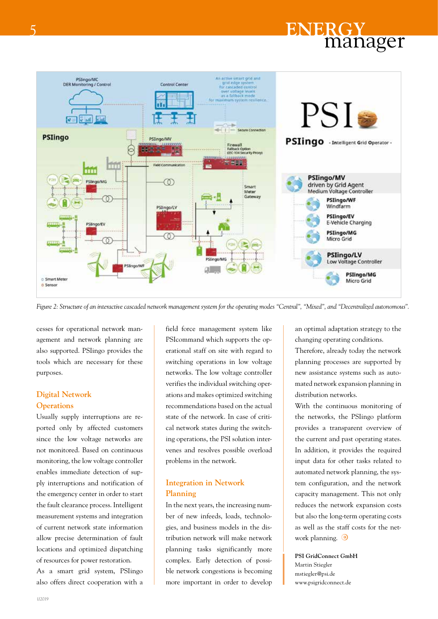

*Figure 2: Structure of an interactive cascaded network management system for the operating modes "Central", "Mixed", and "Decentralized autonomous".*

cesses for operational network management and network planning are also supported. PSIingo provides the tools which are necessary for these purposes.

#### **Digital Network Operations**

Usually supply interruptions are reported only by affected customers since the low voltage networks are not monitored. Based on continuous monitoring, the low voltage controller enables immediate detection of supply interruptions and notification of the emergency center in order to start the fault clearance process. Intelligent measurement systems and integration of current network state information allow precise determination of fault locations and optimized dispatching of resources for power restoration.

As a smart grid system, PSIingo also offers direct cooperation with a field force management system like PSIcommand which supports the operational staff on site with regard to switching operations in low voltage networks. The low voltage controller verifies the individual switching operations and makes optimized switching recommendations based on the actual state of the network. In case of critical network states during the switching operations, the PSI solution intervenes and resolves possible overload problems in the network.

#### **Integration in Network Planning**

In the next years, the increasing number of new infeeds, loads, technologies, and business models in the distribution network will make network planning tasks significantly more complex. Early detection of possible network congestions is becoming more important in order to develop

an optimal adaptation strategy to the changing operating conditions. Therefore, already today the network planning processes are supported by new assistance systems such as automated network expansion planning in distribution networks.

With the continuous monitoring of the networks, the PSIingo platform provides a transparent overview of the current and past operating states. In addition, it provides the required input data for other tasks related to automated network planning, the system configuration, and the network capacity management. This not only reduces the network expansion costs but also the long-term operating costs as well as the staff costs for the network planning.  $\bigcirc$ 

**PSI GridConnect GmbH** Martin Stiegler mstiegler@psi.de www.psigridconnect.de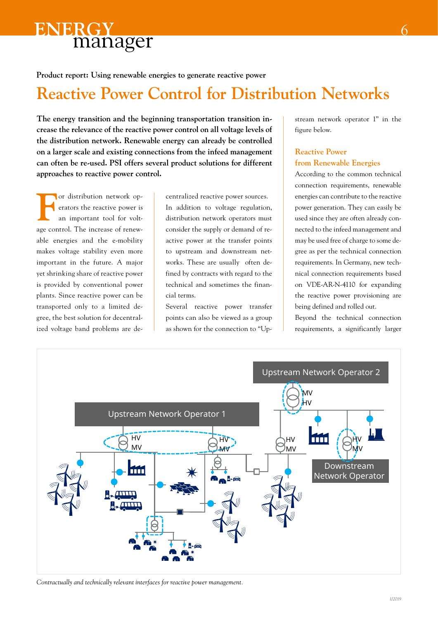

**Product report: Using renewable energies to generate reactive power**

## **Reactive Power Control for Distribution Networks**

**The energy transition and the beginning transportation transition increase the relevance of the reactive power control on all voltage levels of the distribution network. Renewable energy can already be controlled on a larger scale and existing connections from the infeed management can often be re-used. PSI offers several product solutions for different approaches to reactive power control.**

For distribution network op-<br>
erators the reactive power is<br>
an important tool for volterators the reactive power is an important tool for voltage control. The increase of renewable energies and the e-mobility makes voltage stability even more important in the future. A major yet shrinking share of reactive power is provided by conventional power plants. Since reactive power can be transported only to a limited degree, the best solution for decentralized voltage band problems are de-

centralized reactive power sources. In addition to voltage regulation, distribution network operators must consider the supply or demand of reactive power at the transfer points to upstream and downstream networks. These are usually often defined by contracts with regard to the technical and sometimes the financial terms.

Several reactive power transfer points can also be viewed as a group as shown for the connection to "Upstream network operator 1" in the figure below.

6

#### **Reactive Power from Renewable Energies**

According to the common technical connection requirements, renewable energies can contribute to the reactive power generation. They can easily be used since they are often already connected to the infeed management and may be used free of charge to some degree as per the technical connection requirements. In Germany, new technical connection requirements based on VDE-AR-N-4110 for expanding the reactive power provisioning are being defined and rolled out.

Beyond the technical connection requirements, a significantly larger



*Contractually and technically relevant interfaces for reactive power management.*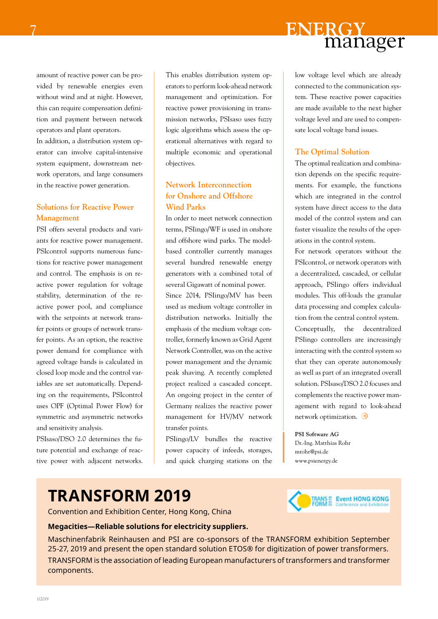amount of reactive power can be provided by renewable energies even without wind and at night. However, this can require compensation definition and payment between network operators and plant operators.

In addition, a distribution system operator can involve capital-intensive system equipment, downstream network operators, and large consumers in the reactive power generation.

#### **Solutions for Reactive Power Management**

PSI offers several products and variants for reactive power management. PSIcontrol supports numerous functions for reactive power management and control. The emphasis is on reactive power regulation for voltage stability, determination of the reactive power pool, and compliance with the setpoints at network transfer points or groups of network transfer points. As an option, the reactive power demand for compliance with agreed voltage bands is calculated in closed loop mode and the control variables are set automatically. Depending on the requirements, PSIcontrol uses OPF (Optimal Power Flow) for symmetric and asymmetric networks and sensitivity analysis.

PSIsaso/DSO 2.0 determines the future potential and exchange of reactive power with adjacent networks.

This enables distribution system operators to perform look-ahead network management and optimization. For reactive power provisioning in transmission networks, PSIsaso uses fuzzy logic algorithms which assess the operational alternatives with regard to multiple economic and operational objectives.

#### **Network Interconnection for Onshore and Offshore Wind Parks**

In order to meet network connection terms, PSIingo/WF is used in onshore and offshore wind parks. The modelbased controller currently manages several hundred renewable energy generators with a combined total of several Gigawatt of nominal power. Since 2014, PSIingo/MV has been used as medium voltage controller in distribution networks. Initially the emphasis of the medium voltage controller, formerly known as Grid Agent Network Controller, was on the active power management and the dynamic peak shaving. A recently completed project realized a cascaded concept. An ongoing project in the center of Germany realizes the reactive power management for HV/MV network transfer points.

PSIingo/LV bundles the reactive power capacity of infeeds, storages, and quick charging stations on the low voltage level which are already connected to the communication system. These reactive power capacities are made available to the next higher voltage level and are used to compensate local voltage band issues.

manager

#### **The Optimal Solution**

**ENERGY**

The optimal realization and combination depends on the specific requirements. For example, the functions which are integrated in the control system have direct access to the data model of the control system and can faster visualize the results of the operations in the control system.

For network operators without the PSIcontrol, or network operators with a decentralized, cascaded, or cellular approach, PSIingo offers individual modules. This off-loads the granular data processing and complex calculation from the central control system. Conceptually, the decentralized PSIingo controllers are increasingly interacting with the control system so that they can operate autonomously as well as part of an integrated overall solution. PSIsaso/DSO 2.0 focuses and complements the reactive power management with regard to look-ahead network optimization.

#### **PSI Software AG**

Dr.-Ing. Matthias Rohr mrohr@psi.de www.psienergy.de

# **TRANSFORM 2019**

Convention and Exhibition Center, Hong Kong, China



#### **Megacities—Reliable solutions for electricity suppliers.**

Maschinenfabrik Reinhausen and PSI are co-sponsors of the TRANSFORM exhibition September 25-27, 2019 and present the open standard solution ETOS® for digitization of power transformers. TRANSFORM is the association of leading European manufacturers of transformers and transformer components.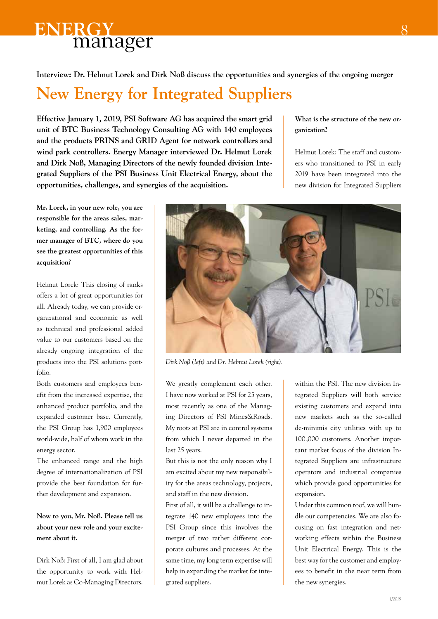**Interview: Dr. Helmut Lorek and Dirk Noß discuss the opportunities and synergies of the ongoing merger**

# **New Energy for Integrated Suppliers**

**Effective January 1, 2019, PSI Software AG has acquired the smart grid unit of BTC Business Technology Consulting AG with 140 employees and the products PRINS and GRID Agent for network controllers and wind park controllers. Energy Manager interviewed Dr. Helmut Lorek and Dirk Noß, Managing Directors of the newly founded division Integrated Suppliers of the PSI Business Unit Electrical Energy, about the opportunities, challenges, and synergies of the acquisition.** 

**What is the structure of the new organization?**

Helmut Lorek: The staff and customers who transitioned to PSI in early 2019 have been integrated into the new division for Integrated Suppliers

**Mr. Lorek, in your new role, you are responsible for the areas sales, marketing, and controlling. As the former manager of BTC, where do you see the greatest opportunities of this acquisition?**

Helmut Lorek: This closing of ranks offers a lot of great opportunities for all. Already today, we can provide organizational and economic as well as technical and professional added value to our customers based on the already ongoing integration of the products into the PSI solutions portfolio.

Both customers and employees benefit from the increased expertise, the enhanced product portfolio, and the expanded customer base. Currently, the PSI Group has 1,900 employees world-wide, half of whom work in the energy sector.

The enhanced range and the high degree of internationalization of PSI provide the best foundation for further development and expansion.

**Now to you, Mr. Noß. Please tell us about your new role and your excitement about it.**

Dirk Noß: First of all, I am glad about the opportunity to work with Helmut Lorek as Co-Managing Directors.



*Dirk Noß (left) and Dr. Helmut Lorek (right).*

We greatly complement each other. I have now worked at PSI for 25 years, most recently as one of the Managing Directors of PSI Mines&Roads. My roots at PSI are in control systems from which I never departed in the last 25 years.

But this is not the only reason why I am excited about my new responsibility for the areas technology, projects, and staff in the new division.

First of all, it will be a challenge to integrate 140 new employees into the PSI Group since this involves the merger of two rather different corporate cultures and processes. At the same time, my long term expertise will help in expanding the market for integrated suppliers.

within the PSI. The new division Integrated Suppliers will both service existing customers and expand into new markets such as the so-called de-minimis city utilities with up to 100,000 customers. Another important market focus of the division Integrated Suppliers are infrastructure operators and industrial companies which provide good opportunities for expansion.

Under this common roof, we will bundle our competencies. We are also focusing on fast integration and networking effects within the Business Unit Electrical Energy. This is the best way for the customer and employees to benefit in the near term from the new synergies.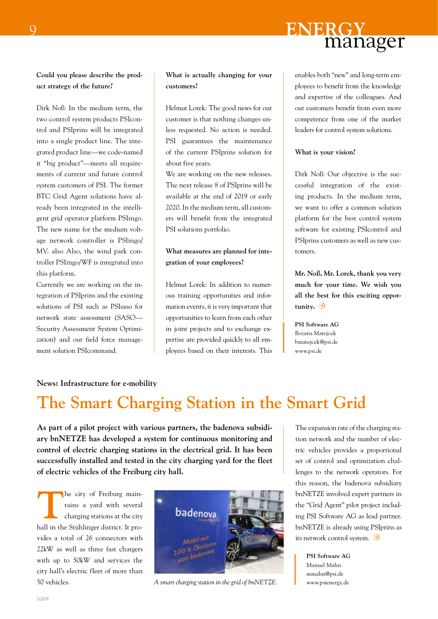

**Could you please describe the product strategy of the future?**

Dirk Noß: In the medium term, the two control system products PSIcontrol and PSIprins will be integrated into a single product line. The integrated product line—we code-named it "big product"—meets all requirements of current and future control system customers of PSI. The former BTC Grid Agent solutions have already been integrated in the intelligent grid operator platform PSIingo. The new name for the medium voltage network controller is PSIingo/ MV. also Also, the wind park controller PSIingo/WF is integrated into this platform.

Currently we are working on the integration of PSIprins and the existing solutions of PSI such as PSIsaso for network state assessment (SASO— Security Assessment System Optimization) and our field force management solution PSIcommand.

#### **What is actually changing for your customers?**

Helmut Lorek: The good news for our customer is that nothing changes unless requested. No action is needed. PSI guarantees the maintenance of the current PSIprins solution for about five years.

We are working on the new releases. The next release 8 of PSIprins will be available at the end of 2019 or early 2020. In the medium term, all customers will benefit from the integrated PSI solutions portfolio.

#### **What measures are planned for integration of your employees?**

Helmut Lorek: In addition to numerous training opportunities and information events, it is very important that opportunities to learn from each other in joint projects and to exchange expertise are provided quickly to all employees based on their interests. This enables both "new" and long-term employees to benefit from the knowledge and expertise of the colleagues. And our customers benefit from even more competence from one of the market leaders for control system solutions.

#### **What is your vision?**

Dirk Noß: Our objective is the successful integration of the existing products. In the medium term, we want to offer a common solution platform for the best control system software for existing PSIcontrol and PSIprins customers as well as new customers.

**Mr. Noß, Mr. Lorek, thank you very much for your time. We wish you all the best for this exciting opportunity.**

**PSI Software AG** Bozana Matejcek bmatejcek@psi.de www.psi.de

#### **News: Infrastructure for e-mobility**

### **The Smart Charging Station in the Smart Grid**

**As part of a pilot project with various partners, the badenova subsidiary bnNETZE has developed a system for continuous monitoring and control of electric charging stations in the electrical grid. It has been successfully installed and tested in the city charging yard for the fleet of electric vehicles of the Freiburg city hall.** 

**The city of Freiburg main**tains a yard with several charging stations at the city hall in the Stühlinger district. It provides a total of 26 connectors with 22kW as well as three fast chargers with up to 50kW and services the city hall's electric fleet of more than 50 vehicles.



*A smart charging station in the grid of bnNETZE.* www.psienergy.de

The expansion rate of the charging station network and the number of electric vehicles provides a proportional set of control and optimization challenges to the network operators. For this reason, the badenova subsidiary bnNETZE involved expert partners in the "Grid Agent" pilot project including PSI Software AG as lead partner. bnNETZE is already using PSIprins as its network control system.

**PSI Software AG** Manuel Mahn mmahn@psi.de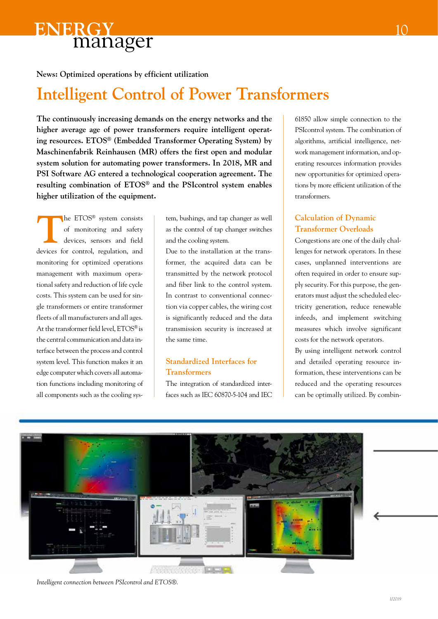

**News: Optimized operations by efficient utilization**

## **Intelligent Control of Power Transformers**

**The continuously increasing demands on the energy networks and the higher average age of power transformers require intelligent operating resources. ETOS® (Embedded Transformer Operating System) by Maschinenfabrik Reinhausen (MR) offers the first open and modular system solution for automating power transformers. In 2018, MR and PSI Software AG entered a technological cooperation agreement. The resulting combination of ETOS® and the PSIcontrol system enables higher utilization of the equipment.**

The ETOS<sup>®</sup> system consists<br>of monitoring and safety<br>devices, sensors and field of monitoring and safety devices, sensors and field devices for control, regulation, and monitoring for optimized operations management with maximum operational safety and reduction of life cycle costs. This system can be used for single transformers or entire transformer fleets of all manufacturers and all ages. At the transformer field level, ETOS® is the central communication and data interface between the process and control system level. This function makes it an edge computer which covers all automation functions including monitoring of all components such as the cooling sys-

tem, bushings, and tap changer as well as the control of tap changer switches and the cooling system.

Due to the installation at the transformer, the acquired data can be transmitted by the network protocol and fiber link to the control system. In contrast to conventional connection via copper cables, the wiring cost is significantly reduced and the data transmission security is increased at the same time.

#### **Standardized Interfaces for Transformers**

The integration of standardized interfaces such as IEC 60870-5-104 and IEC 61850 allow simple connection to the PSIcontrol system. The combination of algorithms, artificial intelligence, network management information, and operating resources information provides new opportunities for optimized operations by more efficient utilization of the transformers.

#### **Calculation of Dynamic Transformer Overloads**

Congestions are one of the daily challenges for network operators. In these cases, unplanned interventions are often required in order to ensure supply security. For this purpose, the generators must adjust the scheduled electricity generation, reduce renewable infeeds, and implement switching measures which involve significant costs for the network operators.

By using intelligent network control and detailed operating resource information, these interventions can be reduced and the operating resources can be optimally utilized. By combin-



*Intelligent connection between PSIcontrol and ETOS®.*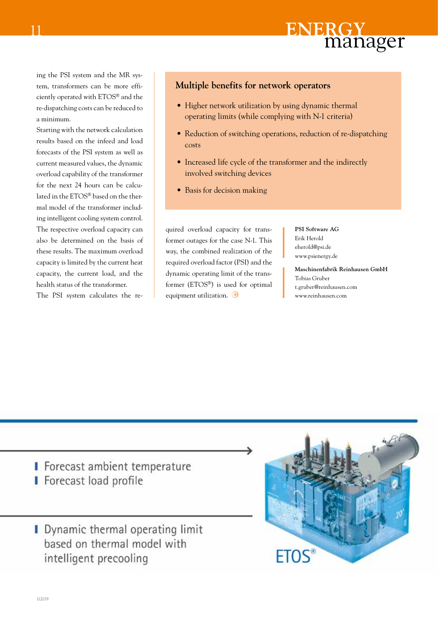ing the PSI system and the MR system, transformers can be more efficiently operated with ETOS® and the re-dispatching costs can be reduced to a minimum.

11

Starting with the network calculation results based on the infeed and load forecasts of the PSI system as well as current measured values, the dynamic overload capability of the transformer for the next 24 hours can be calculated in the ETOS® based on the thermal model of the transformer including intelligent cooling system control. The respective overload capacity can also be determined on the basis of these results. The maximum overload capacity is limited by the current heat capacity, the current load, and the health status of the transformer.

The PSI system calculates the re-

#### **Multiple benefits for network operators**

- Higher network utilization by using dynamic thermal operating limits (while complying with N-1 criteria)
- Reduction of switching operations, reduction of re-dispatching costs
- Increased life cycle of the transformer and the indirectly involved switching devices
- Basis for decision making

quired overload capacity for transformer outages for the case N-1. This way, the combined realization of the required overload factor (PSI) and the dynamic operating limit of the transformer (ETOS®) is used for optimal equipment utilization.  $\odot$ 

**PSI Software AG** Erik Herold eherold@psi.de www.psienergy.de

**Maschinenfabrik Reinhausen GmbH** Tobias Gruber t.gruber@reinhausen.com www.reinhausen.com

- I Forecast ambient temperature I Forecast load profile
- **I** Dynamic thermal operating limit based on thermal model with intelligent precooling

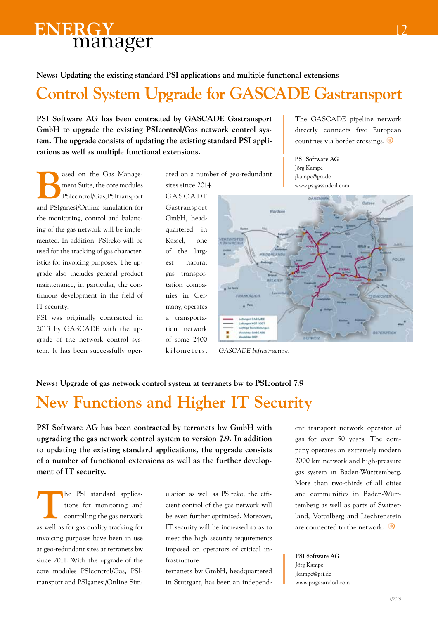**News: Updating the existing standard PSI applications and multiple functional extensions**

# **Control System Upgrade for GASCADE Gastransport**

**PSI Software AG has been contracted by GASCADE Gastransport GmbH to upgrade the existing PSIcontrol/Gas network control system. The upgrade consists of updating the existing standard PSI applications as well as multiple functional extensions.**

ased on the Gas Management Suite, the core modules PSIcontrol/Gas, PSItransport and PSIganesi/Online simulation for the monitoring, control and balancing of the gas network will be implemented. In addition, PSIreko will be used for the tracking of gas characteristics for invoicing purposes. The upgrade also includes general product maintenance, in particular, the continuous development in the field of IT security.

PSI was originally contracted in 2013 by GASCADE with the upgrade of the network control system. It has been successfully operated on a number of geo-redundant sites since 2014.

**GASCADE** Gastransport GmbH, headquartered in Kassel, one of the largest natural gas transportation companies in Germany, operates a transportation network of some 2400 kilometers. The GASCADE pipeline network directly connects five European countries via border crossings.

**PSI Software AG** Jörg Kampe jkampe@psi.de www.psigasandoil.com



*GASCADE Infrastructure.*

#### **News: Upgrade of gas network control system at terranets bw to PSIcontrol 7.9**

# **New Functions and Higher IT Security**

**PSI Software AG has been contracted by terranets bw GmbH with upgrading the gas network control system to version 7.9. In addition to updating the existing standard applications, the upgrade consists of a number of functional extensions as well as the further development of IT security.**

**T**he PSI standard applications for monitoring and controlling the gas network as well as for gas quality tracking for invoicing purposes have been in use at geo-redundant sites at terranets bw since 2011. With the upgrade of the core modules PSIcontrol/Gas, PSItransport and PSIganesi/Online Sim-

ulation as well as PSIreko, the efficient control of the gas network will be even further optimized. Moreover, IT security will be increased so as to meet the high security requirements imposed on operators of critical infrastructure.

terranets bw GmbH, headquartered in Stuttgart, has been an independent transport network operator of gas for over 50 years. The company operates an extremely modern 2000 km network and high-pressure gas system in Baden-Württemberg. More than two-thirds of all cities and communities in Baden-Württemberg as well as parts of Switzerland, Vorarlberg and Liechtenstein are connected to the network.  $\odot$ 

**PSI Software AG** Jörg Kampe jkampe@psi.de www.psigasandoil.com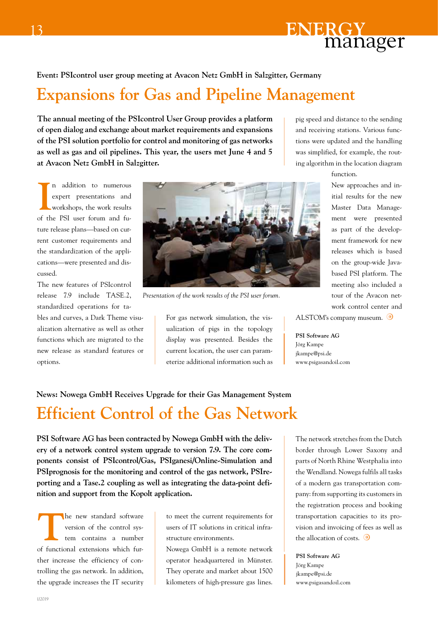

#### **Event: PSIcontrol user group meeting at Avacon Netz GmbH in Salzgitter, Germany**

# **Expansions for Gas and Pipeline Management**

**The annual meeting of the PSIcontrol User Group provides a platform of open dialog and exchange about market requirements and expansions of the PSI solution portfolio for control and monitoring of gas networks as well as gas and oil pipelines. This year, the users met June 4 and 5 at Avacon Netz GmbH in Salzgitter.**

**I** n addition to numerous expert presentations and workshops, the work results of the PSI user forum and future release plans—based on current customer requirements and the standardization of the applications—were presented and discussed.

The new features of PSIcontrol release 7.9 include TASE.2, standardized operations for tables and curves, a Dark Theme visu-

alization alternative as well as other functions which are migrated to the new release as standard features or options.



*Presentation of the work results of the PSI user forum.*

For gas network simulation, the vis-  $\parallel$  ALSTOM's company museum.  $\bullet$ ualization of pigs in the topology display was presented. Besides the current location, the user can parameterize additional information such as

pig speed and distance to the sending and receiving stations. Various functions were updated and the handling was simplified, for example, the routing algorithm in the location diagram

function.

New approaches and initial results for the new Master Data Management were presented as part of the development framework for new releases which is based on the group-wide Javabased PSI platform. The meeting also included a tour of the Avacon network control center and

**PSI Software AG** Jörg Kampe jkampe@psi.de www.psigasandoil.com

# **News: Nowega GmbH Receives Upgrade for their Gas Management System**

# **Efficient Control of the Gas Network**

**PSI Software AG has been contracted by Nowega GmbH with the delivery of a network control system upgrade to version 7.9. The core components consist of PSIcontrol/Gas, PSIganesi/Online-Simulation and PSIprognosis for the monitoring and control of the gas network, PSIreporting and a Tase.2 coupling as well as integrating the data-point definition and support from the Kopolt application.**

**T**he new standard software version of the control system contains a number of functional extensions which further increase the efficiency of controlling the gas network. In addition, the upgrade increases the IT security

to meet the current requirements for users of IT solutions in critical infrastructure environments.

Nowega GmbH is a remote network operator headquartered in Münster. They operate and market about 1500 kilometers of high-pressure gas lines.

The network stretches from the Dutch border through Lower Saxony and parts of North Rhine Westphalia into the Wendland. Nowega fulfils all tasks of a modern gas transportation company: from supporting its customers in the registration process and booking transportation capacities to its provision and invoicing of fees as well as the allocation of costs.  $\odot$ 

**PSI Software AG** Jörg Kampe jkampe@psi.de www.psigasandoil.com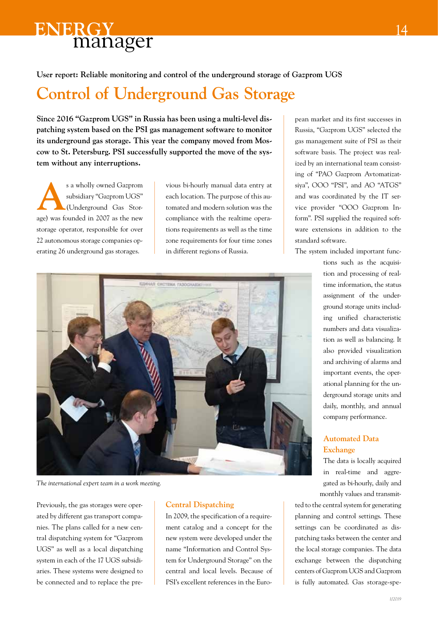**User report: Reliable monitoring and control of the underground storage of Gazprom UGS**

# **Control of Underground Gas Storage**

**Since 2016 "Gazprom UGS" in Russia has been using a multi-level dispatching system based on the PSI gas management software to monitor its underground gas storage. This year the company moved from Moscow to St. Petersburg. PSI successfully supported the move of the system without any interruptions.**

**A**s a wholly owned Gazprom subsidiary "Gazprom UGS" (Underground Gas Storage) was founded in 2007 as the new storage operator, responsible for over 22 autonomous storage companies operating 26 underground gas storages.

vious bi-hourly manual data entry at each location. The purpose of this automated and modern solution was the compliance with the realtime operations requirements as well as the time zone requirements for four time zones in different regions of Russia.



*The international expert team in a work meeting.*

Previously, the gas storages were operated by different gas transport companies. The plans called for a new central dispatching system for "Gazprom UGS" as well as a local dispatching system in each of the 17 UGS subsidiaries. These systems were designed to be connected and to replace the pre-

#### **Central Dispatching**

In 2009, the specification of a requirement catalog and a concept for the new system were developed under the name "Information and Control System for Underground Storage" on the central and local levels. Because of PSI's excellent references in the European market and its first successes in Russia, "Gazprom UGS" selected the gas management suite of PSI as their software basis. The project was realized by an international team consisting of "PAO Gazprom Avtomatizatsiya", OOO "PSI", and AO "ATGS" and was coordinated by the IT service provider "OOO Gazprom Inform". PSI supplied the required software extensions in addition to the standard software.

The system included important func-

tions such as the acquisition and processing of realtime information, the status assignment of the underground storage units including unified characteristic numbers and data visualization as well as balancing. It also provided visualization and archiving of alarms and important events, the operational planning for the underground storage units and daily, monthly, and annual company performance.

#### **Automated Data Exchange**

The data is locally acquired in real-time and aggregated as bi-hourly, daily and monthly values and transmit-

ted to the central system for generating planning and control settings. These settings can be coordinated as dispatching tasks between the center and the local storage companies. The data exchange between the dispatching centers of Gazprom UGS and Gazprom is fully automated. Gas storage-spe-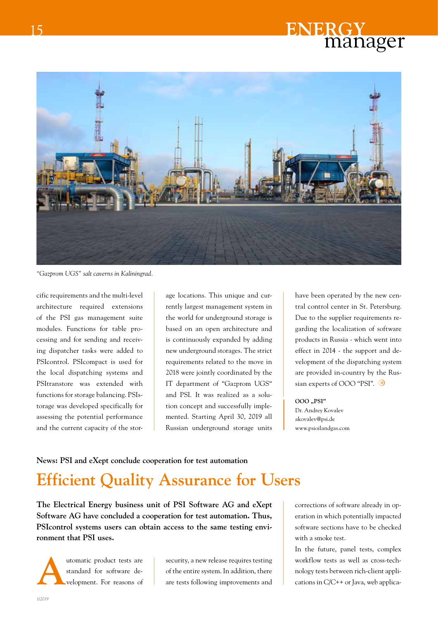

*"Gazprom UGS" salt caverns in Kaliningrad.*

cific requirements and the multi-level architecture required extensions of the PSI gas management suite modules. Functions for table processing and for sending and receiving dispatcher tasks were added to PSIcontrol. PSIcompact is used for the local dispatching systems and PSItranstore was extended with functions for storage balancing. PSIstorage was developed specifically for assessing the potential performance and the current capacity of the storage locations. This unique and currently largest management system in the world for underground storage is based on an open architecture and is continuously expanded by adding new underground storages. The strict requirements related to the move in 2018 were jointly coordinated by the IT department of "Gazprom UGS" and PSI. It was realized as a solution concept and successfully implemented. Starting April 30, 2019 all Russian underground storage units have been operated by the new central control center in St. Petersburg. Due to the supplier requirements regarding the localization of software products in Russia - which went into effect in 2014 - the support and development of the dispatching system are provided in-country by the Russian experts of OOO "PSI".  $\bullet$ 

#### **OOO "PSI"**

Dr. Andrey Kovalev akovalev@psi.de www.psioilandgas.com

#### **News: PSI and eXept conclude cooperation for test automation**

# **Efficient Quality Assurance for Users**

**The Electrical Energy business unit of PSI Software AG and eXept Software AG have concluded a cooperation for test automation. Thus, PSIcontrol systems users can obtain access to the same testing environment that PSI uses.**



utomatic product tests are<br>standard for software development. For reasons of standard for software development. For reasons of

security, a new release requires testing of the entire system. In addition, there are tests following improvements and

corrections of software already in operation in which potentially impacted software sections have to be checked with a smoke test.

In the future, panel tests, complex workflow tests as well as cross-technology tests between rich-client applications in C/C++ or Java, web applica-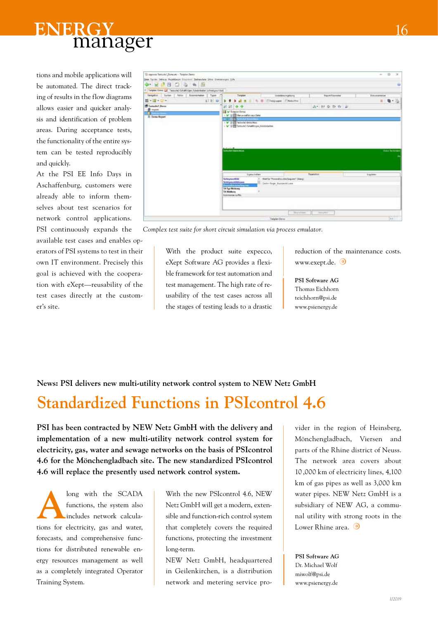



tions and mobile applications will be automated. The direct tracking of results in the flow diagrams allows easier and quicker analysis and identification of problem areas. During acceptance tests, the functionality of the entire system can be tested reproducibly and quickly.

At the PSI EE Info Days in Aschaffenburg, customers were already able to inform themselves about test scenarios for network control applications. PSI continuously expands the

available test cases and enables operators of PSI systems to test in their own IT environment. Precisely this goal is achieved with the cooperation with eXept—reusability of the test cases directly at the customer's site.

| U. egisso Tettuhri "Tencati - Tetplan Dend                              |                                                                         |                                                                            |                                    |                       |              | $= 0$<br>$-36$          |
|-------------------------------------------------------------------------|-------------------------------------------------------------------------|----------------------------------------------------------------------------|------------------------------------|-----------------------|--------------|-------------------------|
|                                                                         | See Tyrrar Debras Providence Discover: Sabendate Sites Development tole |                                                                            |                                    |                       |              |                         |
| $\bullet \quad A \quad B \quad C \quad \bullet \quad \bullet \quad B$   |                                                                         |                                                                            |                                    |                       |              | ٠                       |
| F Tergilen Dens La Testovia) Schaltfolger Katelebeller (crimalges füldt |                                                                         |                                                                            |                                    |                       |              |                         |
| <b>Agkler</b><br><b>Turker</b><br>Neigabor                              | Tuest<br><b>Boxenonum</b>                                               | Deresten                                                                   | <b>TalerMenumgeburg</b>            | <b>Track Favourer</b> | Enturamentos |                         |
| 第十四 空中                                                                  | E E B                                                                   |                                                                            | at x = 6. 2 Elisipuser. Elisabethy |                       |              | ■ 看不得                   |
| <b>T</b> Testaubel Dens<br>1. <b>St.</b> Imports                        | 日常+                                                                     |                                                                            |                                    | 选生物 取取物 副             |              |                         |
| ш                                                                       | IS w Traplat Denis                                                      | 1 W. St. Ell Merce celler-aci-Salei                                        |                                    |                       |              |                         |
| <b>El Sema Knoort</b>                                                   |                                                                         | <b>CO + NORMALES</b>                                                       |                                    |                       |              |                         |
|                                                                         |                                                                         | 1 V 2 Pa Technik (deskt) kan<br>> V STEET femaled Griddinger Columbulation |                                    |                       |              |                         |
|                                                                         |                                                                         | 할 때 한 가족들은 어디서 나와 내 되어 있다.                                                 |                                    |                       |              |                         |
|                                                                         |                                                                         |                                                                            |                                    |                       |              |                         |
|                                                                         |                                                                         |                                                                            |                                    |                       |              |                         |
|                                                                         |                                                                         |                                                                            |                                    |                       |              |                         |
|                                                                         | And and out of                                                          |                                                                            |                                    |                       |              |                         |
|                                                                         | <b>WITCHES BARRIERS</b>                                                 |                                                                            |                                    |                       |              | <b>Hotel: Neilenber</b> |
|                                                                         |                                                                         |                                                                            |                                    |                       |              |                         |
|                                                                         |                                                                         |                                                                            |                                    |                       |              |                         |
|                                                                         |                                                                         |                                                                            |                                    |                       |              |                         |
|                                                                         |                                                                         | <b>Sigmuchales</b>                                                         |                                    | Fearurus              | Liquides:    |                         |
|                                                                         | <b>Notes present did</b>                                                |                                                                            | Sets Yound combined Dept           |                       |              |                         |
|                                                                         | <b>Schnoevertifictionen</b><br><b>Texas of La</b>                       | <b>International</b>                                                       | Intu-Tage Hurroroblues             |                       |              |                         |
|                                                                         | <b>TA Tun Miridians</b><br>T.A. Michillums                              |                                                                            |                                    |                       |              |                         |
|                                                                         | Ensumerter by Per-                                                      |                                                                            |                                    |                       |              |                         |
|                                                                         |                                                                         |                                                                            |                                    |                       |              |                         |
|                                                                         |                                                                         |                                                                            |                                    |                       |              |                         |
|                                                                         |                                                                         |                                                                            |                                    |                       |              |                         |
|                                                                         |                                                                         |                                                                            |                                    |                       |              |                         |
|                                                                         |                                                                         |                                                                            |                                    | Benchiam   Sanathi    |              |                         |

*Complex test suite for short circuit simulation via process emulator.*

With the product suite expecco, eXept Software AG provides a flexible framework for test automation and test management. The high rate of reusability of the test cases across all the stages of testing leads to a drastic reduction of the maintenance costs. www.exept.de.

**PSI Software AG** Thomas Eichhorn teichhorn@psi.de www.psienergy.de

**News: PSI delivers new multi-utility network control system to NEW Netz GmbH**

## **Standardized Functions in PSIcontrol 4.6**

**PSI has been contracted by NEW Netz GmbH with the delivery and implementation of a new multi-utility network control system for electricity, gas, water and sewage networks on the basis of PSIcontrol 4.6 for the Mönchengladbach site. The new standardized PSIcontrol 4.6 will replace the presently used network control system.**

long with the SCADA functions, the system also<br>includes network calculafunctions, the system also includes network calculations for electricity, gas and water, forecasts, and comprehensive functions for distributed renewable energy resources management as well as a completely integrated Operator Training System.

With the new PSIcontrol 4.6, NEW Netz GmbH will get a modern, extensible and function-rich control system that completely covers the required functions, protecting the investment long-term.

NEW Netz GmbH, headquartered in Geilenkirchen, is a distribution network and metering service provider in the region of Heinsberg, Mönchengladbach, Viersen and parts of the Rhine district of Neuss. The network area covers about 10 ,000 km of electricity lines, 4,100 km of gas pipes as well as 3,000 km water pipes. NEW Netz GmbH is a subsidiary of NEW AG, a communal utility with strong roots in the Lower Rhine area.  $\odot$ 

**PSI Software AG** Dr. Michael Wolf miwolf@psi.de www.psienergy.de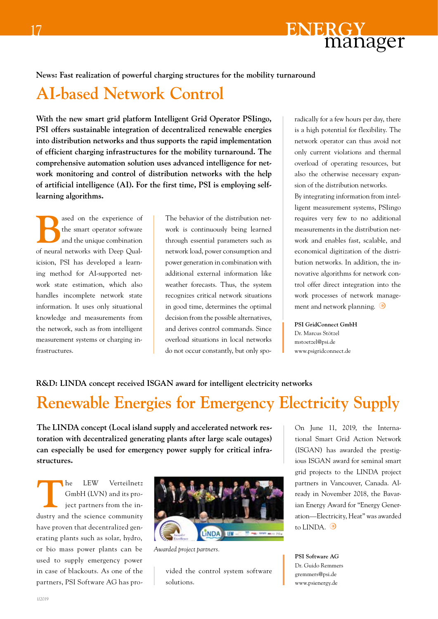

#### **News: Fast realization of powerful charging structures for the mobility turnaround**

### **AI-based Network Control**

**With the new smart grid platform Intelligent Grid Operator PSIingo, PSI offers sustainable integration of decentralized renewable energies into distribution networks and thus supports the rapid implementation of efficient charging infrastructures for the mobility turnaround. The comprehensive automation solution uses advanced intelligence for network monitoring and control of distribution networks with the help of artificial intelligence (AI). For the first time, PSI is employing selflearning algorithms.**

ased on the experience of<br>the smart operator software<br>and the unique combination the smart operator software and the unique combination of neural networks with Deep Qualicision, PSI has developed a learning method for AI-supported network state estimation, which also handles incomplete network state information. It uses only situational knowledge and measurements from the network, such as from intelligent measurement systems or charging infrastructures.

The behavior of the distribution network is continuously being learned through essential parameters such as network load, power consumption and power generation in combination with additional external information like weather forecasts. Thus, the system recognizes critical network situations in good time, determines the optimal decision from the possible alternatives, and derives control commands. Since overload situations in local networks do not occur constantly, but only spo-

radically for a few hours per day, there is a high potential for flexibility. The network operator can thus avoid not only current violations and thermal overload of operating resources, but also the otherwise necessary expansion of the distribution networks. By integrating information from intelligent measurement systems, PSIingo requires very few to no additional measurements in the distribution network and enables fast, scalable, and economical digitization of the distribution networks. In addition, the innovative algorithms for network control offer direct integration into the work processes of network management and network planning.  $\bigcirc$ 

**PSI GridConnect GmbH** Dr. Marcus Stötzel

mstoetzel@psi.de www.psigridconnect.de

#### **R&D: LINDA concept received ISGAN award for intelligent electricity networks**

# **Renewable Energies for Emergency Electricity Supply**

**The LINDA concept (Local island supply and accelerated network restoration with decentralized generating plants after large scale outages) can especially be used for emergency power supply for critical infrastructures.**

The LEW Verteilnetz<br>
GmbH (LVN) and its pro-<br>
ject partners from the in-GmbH (LVN) and its project partners from the industry and the science community have proven that decentralized generating plants such as solar, hydro, or bio mass power plants can be used to supply emergency power in case of blackouts. As one of the partners, PSI Software AG has pro-



*Awarded project partners.*

vided the control system software solutions.

On June 11, 2019, the International Smart Grid Action Network (ISGAN) has awarded the prestigious ISGAN award for seminal smart grid projects to the LINDA project partners in Vancouver, Canada. Already in November 2018, the Bavarian Energy Award for "Energy Generation—Electricity, Heat" was awarded to LINDA.  $\odot$ 

**PSI Software AG** Dr. Guido Remmers gremmers@psi.de www.psienergy.de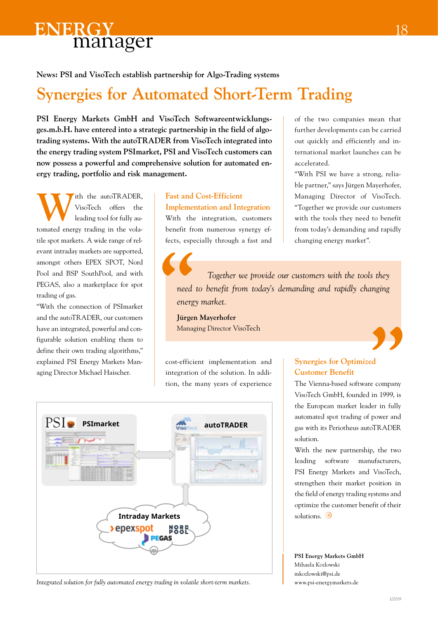**News: PSI and VisoTech establish partnership for Algo-Trading systems**

# **Synergies for Automated Short-Term Trading**

**PSI Energy Markets GmbH and VisoTech Softwareentwicklungsges.m.b.H. have entered into a strategic partnership in the field of algotrading systems. With the autoTRADER from VisoTech integrated into the energy trading system PSImarket, PSI and VisoTech customers can now possess a powerful and comprehensive solution for automated energy trading, portfolio and risk management.**

With the autoTRADER,<br>VisoTech offers the<br>leading tool for fully au-VisoTech offers the leading tool for fully automated energy trading in the volatile spot markets. A wide range of relevant intraday markets are supported, amongst others EPEX SPOT, Nord Pool and BSP SouthPool, and with PEGAS, also a marketplace for spot trading of gas.

"With the connection of PSImarket and the autoTRADER, our customers have an integrated, powerful and configurable solution enabling them to define their own trading algorithms," explained PSI Energy Markets Managing Director Michael Haischer.

#### **Fast and Cost-Efficient Implementation and Integration**

With the integration, customers benefit from numerous synergy effects, especially through a fast and of the two companies mean that further developments can be carried out quickly and efficiently and international market launches can be accelerated.

"With PSI we have a strong, reliable partner," says Jürgen Mayerhofer, Managing Director of VisoTech. "Together we provide our customers with the tools they need to benefit from today's demanding and rapidly changing energy market".

 *Together we provide our customers with the tools they need to benefit from today's demanding and rapidly changing energy market.* **1**<br>**1** need<br>energy

**Jürgen Mayerhofer** Managing Director VisoTech

cost-efficient implementation and integration of the solution. In addition, the many years of experience



*Integrated solution for fully automated energy trading in volatile short-term markets.*

#### **Synergies for Optimized Customer Benefit**

The Vienna-based software company VisoTech GmbH, founded in 1999, is the European market leader in fully automated spot trading of power and gas with its Periotheus autoTRADER solution. **1999**<br>ed re company

With the new partnership, the two leading software manufacturers, PSI Energy Markets and VisoTech, strengthen their market position in the field of energy trading systems and optimize the customer benefit of their solutions.  $\odot$ 

**PSI Energy Markets GmbH** Mihaela Kozlowski mkozlowski@psi.de www.psi-energymarkets.de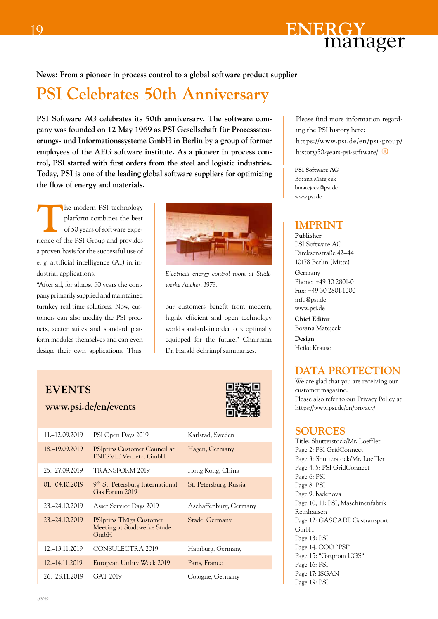

#### **News: From a pioneer in process control to a global software product supplier**

### **PSI Celebrates 50th Anniversary**

**PSI Software AG celebrates its 50th anniversary. The software company was founded on 12 May 1969 as PSI Gesellschaft für Prozesssteuerungs- und Informationssysteme GmbH in Berlin by a group of former employees of the AEG software institute. As a pioneer in process control, PSI started with first orders from the steel and logistic industries. Today, PSI is one of the leading global software suppliers for optimizing the flow of energy and materials.** 

**The modern PSI technology<br>platform combines the best<br>of 50 years of software expe**platform combines the best of 50 years of software experience of the PSI Group and provides a proven basis for the successful use of e. g. artificial intelligence (AI) in industrial applications.

"After all, for almost 50 years the company primarily supplied and maintained turnkey real-time solutions. Now, customers can also modify the PSI products, sector suites and standard platform modules themselves and can even design their own applications. Thus,



*Electrical energy control room at Stadtwerke Aachen 1973.*

our customers benefit from modern, highly efficient and open technology world standards in order to be optimally equipped for the future." Chairman Dr. Harald Schrimpf summarizes.

#### **events**

**www.psi.de/en/events**



| 11. - 12.09.2019  | PSI Open Days 2019                                                  | Karlstad, Sweden       |
|-------------------|---------------------------------------------------------------------|------------------------|
| 18. - 19.09.2019  | <b>PSIprins Customer Council at</b><br><b>ENERVIE Vernetzt GmbH</b> | Hagen, Germany         |
| 25. - 27.09.2019  | TRANSFORM 2019                                                      | Hong Kong, China       |
| 01. - 04.10.2019  | 9 <sup>th</sup> St. Petersburg International<br>Gas Forum 2019      | St. Petersburg, Russia |
| 23. - 24.10.2019  | Asset Service Days 2019                                             | Aschaffenburg, Germany |
| 23. - 24.10.2019  | PSIprins Thüga Customer<br>Meeting at Stadtwerke Stade<br>GmbH      | Stade, Germany         |
| 12. - 13.11.2019  | CONSULECTRA 2019                                                    | Hamburg, Germany       |
| 12. $-14.11.2019$ | European Utility Week 2019                                          | Paris, France          |
| 26. - 28.11.2019  | GAT 2019                                                            | Cologne, Germany       |

Please find more information regarding the PSI history here: https://www.psi.de/en/psi-group/ history/50-years-psi-software/

**PSI Software AG** Bozana Matejcek bmatejcek@psi.de www.psi.de

#### **imprint**

**Publisher** PSI Software AG Dircksenstraße 42–44 10178 Berlin (Mitte)

Germany Phone: +49 30 2801-0 Fax: +49 30 2801-1000 info@psi.de www.psi.de

**Chief Editor** Bozana Matejcek

**Design** Heike Krause

#### **DATA PROTECTION**

We are glad that you are receiving our customer magazine. Please also refer to our Privacy Policy at https://www.psi.de/en/privacy/

#### **Sources**

Title: Shutterstock/Mr. Loeffler Page 2: PSI GridConnect Page 3: Shutterstock/Mr. Loeffler Page 4, 5: PSI GridConnect Page 6: PSI Page 8: PSI Page 9: badenova Page 10, 11: PSI, Maschinenfabrik Reinhausen Page 12: GASCADE Gastransport GmbH Page 13: PSI Page 14: OOO "PSI" Page 15: "Gazprom UGS" Page 16: PSI Page 17: ISGAN Page 19: PSI